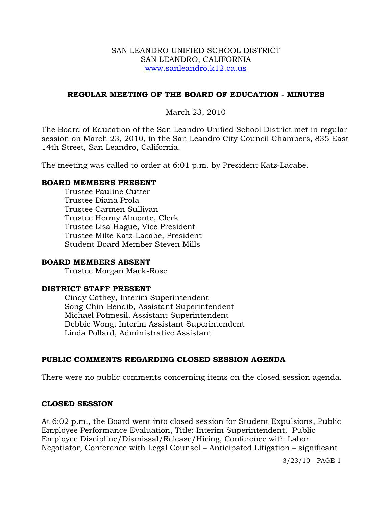#### SAN LEANDRO UNIFIED SCHOOL DISTRICT SAN LEANDRO, CALIFORNIA www.sanleandro.k12.ca.us

### **REGULAR MEETING OF THE BOARD OF EDUCATION - MINUTES**

### March 23, 2010

The Board of Education of the San Leandro Unified School District met in regular session on March 23, 2010, in the San Leandro City Council Chambers, 835 East 14th Street, San Leandro, California.

The meeting was called to order at 6:01 p.m. by President Katz-Lacabe.

#### **BOARD MEMBERS PRESENT**

Trustee Pauline Cutter Trustee Diana Prola Trustee Carmen Sullivan Trustee Hermy Almonte, Clerk Trustee Lisa Hague, Vice President Trustee Mike Katz-Lacabe, President Student Board Member Steven Mills

#### **BOARD MEMBERS ABSENT**

Trustee Morgan Mack-Rose

# **DISTRICT STAFF PRESENT**

Cindy Cathey, Interim Superintendent Song Chin-Bendib, Assistant Superintendent Michael Potmesil, Assistant Superintendent Debbie Wong, Interim Assistant Superintendent Linda Pollard, Administrative Assistant

# **PUBLIC COMMENTS REGARDING CLOSED SESSION AGENDA**

There were no public comments concerning items on the closed session agenda.

#### **CLOSED SESSION**

At 6:02 p.m., the Board went into closed session for Student Expulsions, Public Employee Performance Evaluation, Title: Interim Superintendent, Public Employee Discipline/Dismissal/Release/Hiring, Conference with Labor Negotiator, Conference with Legal Counsel – Anticipated Litigation – significant

3/23/10 - PAGE 1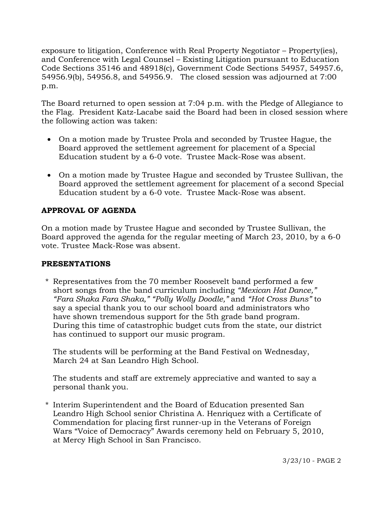exposure to litigation, Conference with Real Property Negotiator – Property(ies), and Conference with Legal Counsel – Existing Litigation pursuant to Education Code Sections 35146 and 48918(c), Government Code Sections 54957, 54957.6, 54956.9(b), 54956.8, and 54956.9. The closed session was adjourned at 7:00 p.m.

The Board returned to open session at 7:04 p.m. with the Pledge of Allegiance to the Flag. President Katz-Lacabe said the Board had been in closed session where the following action was taken:

- On a motion made by Trustee Prola and seconded by Trustee Hague, the Board approved the settlement agreement for placement of a Special Education student by a 6-0 vote. Trustee Mack-Rose was absent.
- On a motion made by Trustee Hague and seconded by Trustee Sullivan, the Board approved the settlement agreement for placement of a second Special Education student by a 6-0 vote. Trustee Mack-Rose was absent.

# **APPROVAL OF AGENDA**

On a motion made by Trustee Hague and seconded by Trustee Sullivan, the Board approved the agenda for the regular meeting of March 23, 2010, by a 6-0 vote. Trustee Mack-Rose was absent.

# **PRESENTATIONS**

\* Representatives from the 70 member Roosevelt band performed a few short songs from the band curriculum including *"Mexican Hat Dance," "Fara Shaka Fara Shaka," "Polly Wolly Doodle,"* and *"Hot Cross Buns"* to say a special thank you to our school board and administrators who have shown tremendous support for the 5th grade band program. During this time of catastrophic budget cuts from the state, our district has continued to support our music program.

 The students will be performing at the Band Festival on Wednesday, March 24 at San Leandro High School.

 The students and staff are extremely appreciative and wanted to say a personal thank you.

\* Interim Superintendent and the Board of Education presented San Leandro High School senior Christina A. Henriquez with a Certificate of Commendation for placing first runner-up in the Veterans of Foreign Wars "Voice of Democracy" Awards ceremony held on February 5, 2010, at Mercy High School in San Francisco.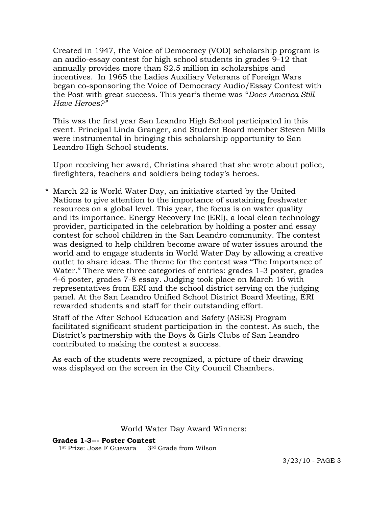Created in 1947, the Voice of Democracy (VOD) scholarship program is an audio-essay contest for high school students in grades 9-12 that annually provides more than \$2.5 million in scholarships and incentives. In 1965 the Ladies Auxiliary Veterans of Foreign Wars began co-sponsoring the Voice of Democracy Audio/Essay Contest with the Post with great success. This year's theme was "*Does America Still Have Heroes?"* 

This was the first year San Leandro High School participated in this event. Principal Linda Granger, and Student Board member Steven Mills were instrumental in bringing this scholarship opportunity to San Leandro High School students.

 Upon receiving her award, Christina shared that she wrote about police, firefighters, teachers and soldiers being today's heroes.

\* March 22 is World Water Day, an initiative started by the United Nations to give attention to the importance of sustaining freshwater resources on a global level. This year, the focus is on water quality and its importance. Energy Recovery Inc (ERI), a local clean technology provider, participated in the celebration by holding a poster and essay contest for school children in the San Leandro community. The contest was designed to help children become aware of water issues around the world and to engage students in World Water Day by allowing a creative outlet to share ideas. The theme for the contest was "The Importance of Water." There were three categories of entries: grades 1-3 poster, grades 4-6 poster, grades 7-8 essay. Judging took place on March 16 with representatives from ERI and the school district serving on the judging panel. At the San Leandro Unified School District Board Meeting, ERI rewarded students and staff for their outstanding effort.

 Staff of the After School Education and Safety (ASES) Program facilitated significant student participation in the contest. As such, the District's partnership with the Boys & Girls Clubs of San Leandro contributed to making the contest a success.

 As each of the students were recognized, a picture of their drawing was displayed on the screen in the City Council Chambers.

#### World Water Day Award Winners:

#### **Grades 1-3--- Poster Contest**

1st Prize: Jose F Guevara 3rd Grade from Wilson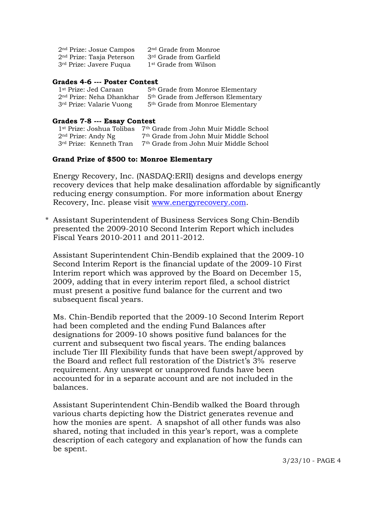| 2 <sup>nd</sup> Prize: Josue Campos | 2 <sup>nd</sup> Grade from Monroe   |
|-------------------------------------|-------------------------------------|
| $2nd$ Prize: Tasja Peterson         | 3 <sup>rd</sup> Grade from Garfield |
| 3 <sup>rd</sup> Prize: Javere Fuqua | 1 <sup>st</sup> Grade from Wilson   |

#### **Grades 4-6 --- Poster Contest**

| 1 <sup>st</sup> Prize: Jed Caraan    | 5 <sup>th</sup> Grade from Monroe Elementary    |
|--------------------------------------|-------------------------------------------------|
| 2 <sup>nd</sup> Prize: Neha Dhankhar | 5 <sup>th</sup> Grade from Jefferson Elementary |
| 3 <sup>rd</sup> Prize: Valarie Vuong | 5 <sup>th</sup> Grade from Monroe Elementary    |

#### **Grades 7-8 --- Essay Contest**

| 1 <sup>st</sup> Prize: Joshua Tolibas | 7 <sup>th</sup> Grade from John Muir Middle School |
|---------------------------------------|----------------------------------------------------|
| $2nd$ Prize: Andy Ng                  | 7 <sup>th</sup> Grade from John Muir Middle School |
| 3rd Prize: Kenneth Tran               | 7 <sup>th</sup> Grade from John Muir Middle School |

#### **Grand Prize of \$500 to: Monroe Elementary**

 Energy Recovery, Inc. (NASDAQ:ERII) designs and develops energy recovery devices that help make desalination affordable by significantly reducing energy consumption. For more information about Energy Recovery, Inc. please visit [www.energyrecovery.com](http://www.energyrecovery.com/).

\* Assistant Superintendent of Business Services Song Chin-Bendib presented the 2009-2010 Second Interim Report which includes Fiscal Years 2010-2011 and 2011-2012.

 Assistant Superintendent Chin-Bendib explained that the 2009-10 Second Interim Report is the financial update of the 2009-10 First Interim report which was approved by the Board on December 15, 2009, adding that in every interim report filed, a school district must present a positive fund balance for the current and two subsequent fiscal years.

 Ms. Chin-Bendib reported that the 2009-10 Second Interim Report had been completed and the ending Fund Balances after designations for 2009-10 shows positive fund balances for the current and subsequent two fiscal years. The ending balances include Tier III Flexibility funds that have been swept/approved by the Board and reflect full restoration of the District's 3% reserve requirement. Any unswept or unapproved funds have been accounted for in a separate account and are not included in the balances.

 Assistant Superintendent Chin-Bendib walked the Board through various charts depicting how the District generates revenue and how the monies are spent. A snapshot of all other funds was also shared, noting that included in this year's report, was a complete description of each category and explanation of how the funds can be spent.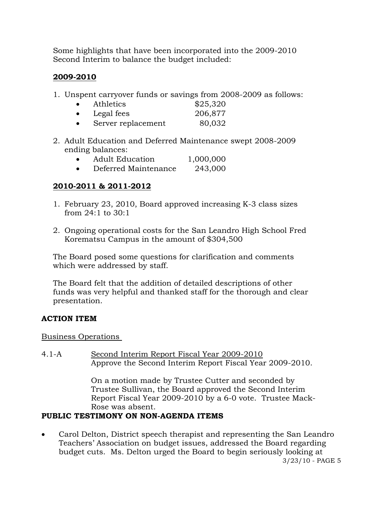Some highlights that have been incorporated into the 2009-2010 Second Interim to balance the budget included:

# **2009-2010**

1. Unspent carryover funds or savings from 2008-2009 as follows:

| Athletics  | \$25,320                   |
|------------|----------------------------|
| Legal fees | 206,877                    |
|            | $\Omega$ $\Omega$ $\Omega$ |

- Server replacement 80,032
- 2. Adult Education and Deferred Maintenance swept 2008-2009 ending balances:

|  | <b>Adult Education</b> | 1,000,000 |
|--|------------------------|-----------|
|--|------------------------|-----------|

• Deferred Maintenance 243,000

# **2010-2011 & 2011-2012**

- 1. February 23, 2010, Board approved increasing K-3 class sizes from 24:1 to 30:1
- 2. Ongoing operational costs for the San Leandro High School Fred Korematsu Campus in the amount of \$304,500

 The Board posed some questions for clarification and comments which were addressed by staff.

 The Board felt that the addition of detailed descriptions of other funds was very helpful and thanked staff for the thorough and clear presentation.

# **ACTION ITEM**

Business Operations

4.1-A Second Interim Report Fiscal Year 2009-2010 Approve the Second Interim Report Fiscal Year 2009-2010.

> On a motion made by Trustee Cutter and seconded by Trustee Sullivan, the Board approved the Second Interim Report Fiscal Year 2009-2010 by a 6-0 vote. Trustee Mack-Rose was absent.

# **PUBLIC TESTIMONY ON NON-AGENDA ITEMS**

• Carol Delton, District speech therapist and representing the San Leandro Teachers' Association on budget issues, addressed the Board regarding budget cuts. Ms. Delton urged the Board to begin seriously looking at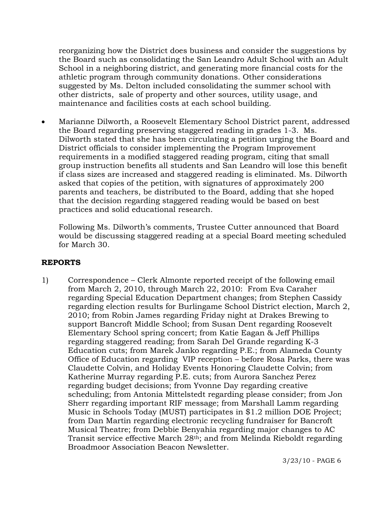reorganizing how the District does business and consider the suggestions by the Board such as consolidating the San Leandro Adult School with an Adult School in a neighboring district, and generating more financial costs for the athletic program through community donations. Other considerations suggested by Ms. Delton included consolidating the summer school with other districts, sale of property and other sources, utility usage, and maintenance and facilities costs at each school building.

• Marianne Dilworth, a Roosevelt Elementary School District parent, addressed the Board regarding preserving staggered reading in grades 1-3. Ms. Dilworth stated that she has been circulating a petition urging the Board and District officials to consider implementing the Program Improvement requirements in a modified staggered reading program, citing that small group instruction benefits all students and San Leandro will lose this benefit if class sizes are increased and staggered reading is eliminated. Ms. Dilworth asked that copies of the petition, with signatures of approximately 200 parents and teachers, be distributed to the Board, adding that she hoped that the decision regarding staggered reading would be based on best practices and solid educational research.

 Following Ms. Dilworth's comments, Trustee Cutter announced that Board would be discussing staggered reading at a special Board meeting scheduled for March 30.

# **REPORTS**

1) Correspondence – Clerk Almonte reported receipt of the following email from March 2, 2010, through March 22, 2010: From Eva Caraher regarding Special Education Department changes; from Stephen Cassidy regarding election results for Burlingame School District election, March 2, 2010; from Robin James regarding Friday night at Drakes Brewing to support Bancroft Middle School; from Susan Dent regarding Roosevelt Elementary School spring concert; from Katie Eagan & Jeff Phillips regarding staggered reading; from Sarah Del Grande regarding K-3 Education cuts; from Marek Janko regarding P.E.; from Alameda County Office of Education regarding VIP reception – before Rosa Parks, there was Claudette Colvin, and Holiday Events Honoring Claudette Colvin; from Katherine Murray regarding P.E. cuts; from Aurora Sanchez Perez regarding budget decisions; from Yvonne Day regarding creative scheduling; from Antonia Mittelstedt regarding please consider; from Jon Sherr regarding important RIF message; from Marshall Lamm regarding Music in Schools Today (MUST) participates in \$1.2 million DOE Project; from Dan Martin regarding electronic recycling fundraiser for Bancroft Musical Theatre; from Debbie Benyahia regarding major changes to AC Transit service effective March 28th; and from Melinda Rieboldt regarding Broadmoor Association Beacon Newsletter.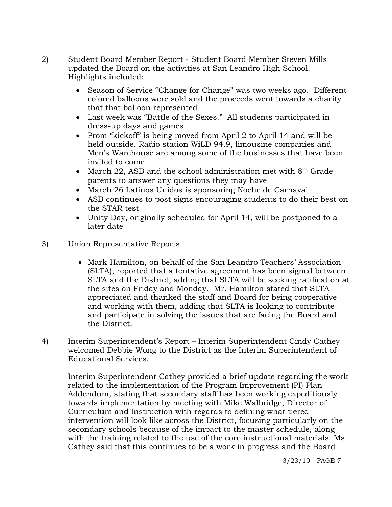- 2) Student Board Member Report Student Board Member Steven Mills updated the Board on the activities at San Leandro High School. Highlights included:
	- Season of Service "Change for Change" was two weeks ago. Different colored balloons were sold and the proceeds went towards a charity that that balloon represented
	- Last week was "Battle of the Sexes." All students participated in dress-up days and games
	- Prom "kickoff" is being moved from April 2 to April 14 and will be held outside. Radio station WiLD 94.9, limousine companies and Men's Warehouse are among some of the businesses that have been invited to come
	- March 22, ASB and the school administration met with 8<sup>th</sup> Grade parents to answer any questions they may have
	- March 26 Latinos Unidos is sponsoring Noche de Carnaval
	- ASB continues to post signs encouraging students to do their best on the STAR test
	- Unity Day, originally scheduled for April 14, will be postponed to a later date
- 3) Union Representative Reports
	- Mark Hamilton, on behalf of the San Leandro Teachers' Association (SLTA), reported that a tentative agreement has been signed between SLTA and the District, adding that SLTA will be seeking ratification at the sites on Friday and Monday. Mr. Hamilton stated that SLTA appreciated and thanked the staff and Board for being cooperative and working with them, adding that SLTA is looking to contribute and participate in solving the issues that are facing the Board and the District.
- 4) Interim Superintendent's Report Interim Superintendent Cindy Cathey welcomed Debbie Wong to the District as the Interim Superintendent of Educational Services.

Interim Superintendent Cathey provided a brief update regarding the work related to the implementation of the Program Improvement (PI) Plan Addendum, stating that secondary staff has been working expeditiously towards implementation by meeting with Mike Walbridge, Director of Curriculum and Instruction with regards to defining what tiered intervention will look like across the District, focusing particularly on the secondary schools because of the impact to the master schedule, along with the training related to the use of the core instructional materials. Ms. Cathey said that this continues to be a work in progress and the Board

3/23/10 - PAGE 7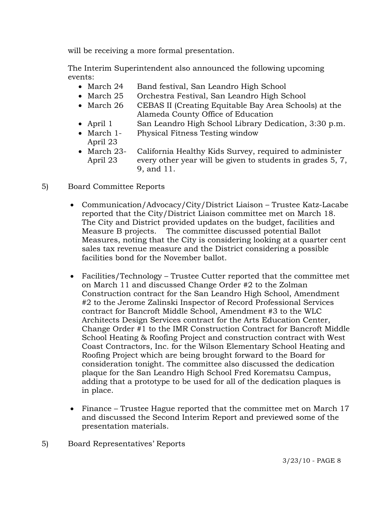will be receiving a more formal presentation.

The Interim Superintendent also announced the following upcoming events:

- March 24 Band festival, San Leandro High School
- March 25 Orchestra Festival, San Leandro High School
- March 26 CEBAS II (Creating Equitable Bay Area Schools) at the Alameda County Office of Education
- April 1 San Leandro High School Library Dedication, 3:30 p.m.
- March 1- Physical Fitness Testing window April 23
- March 23- California Healthy Kids Survey, required to administer April 23 every other year will be given to students in grades 5, 7, 9, and 11.
- 5) Board Committee Reports
	- Communication/Advocacy/City/District Liaison Trustee Katz-Lacabe reported that the City/District Liaison committee met on March 18. The City and District provided updates on the budget, facilities and Measure B projects. The committee discussed potential Ballot Measures, noting that the City is considering looking at a quarter cent sales tax revenue measure and the District considering a possible facilities bond for the November ballot.
	- Facilities/Technology Trustee Cutter reported that the committee met on March 11 and discussed Change Order #2 to the Zolman Construction contract for the San Leandro High School, Amendment #2 to the Jerome Zalinski Inspector of Record Professional Services contract for Bancroft Middle School, Amendment #3 to the WLC Architects Design Services contract for the Arts Education Center, Change Order #1 to the IMR Construction Contract for Bancroft Middle School Heating & Roofing Project and construction contract with West Coast Contractors, Inc. for the Wilson Elementary School Heating and Roofing Project which are being brought forward to the Board for consideration tonight. The committee also discussed the dedication plaque for the San Leandro High School Fred Korematsu Campus, adding that a prototype to be used for all of the dedication plaques is in place.
	- Finance Trustee Hague reported that the committee met on March 17 and discussed the Second Interim Report and previewed some of the presentation materials.
- 5) Board Representatives' Reports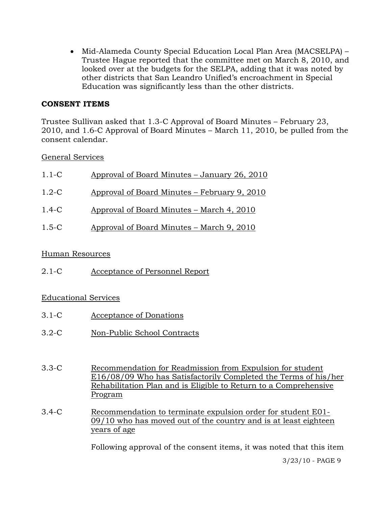• Mid-Alameda County Special Education Local Plan Area (MACSELPA) – Trustee Hague reported that the committee met on March 8, 2010, and looked over at the budgets for the SELPA, adding that it was noted by other districts that San Leandro Unified's encroachment in Special Education was significantly less than the other districts.

# **CONSENT ITEMS**

Trustee Sullivan asked that 1.3-C Approval of Board Minutes – February 23, 2010, and 1.6-C Approval of Board Minutes – March 11, 2010, be pulled from the consent calendar.

General Services

| $1.1 - C$ | Approval of Board Minutes – January 26, 2010 |
|-----------|----------------------------------------------|
| $1.2 - C$ | Approval of Board Minutes – February 9, 2010 |
| $1.4 - C$ | Approval of Board Minutes – March 4, 2010    |
| $1.5 - C$ | Approval of Board Minutes – March 9, 2010    |

# Human Resources

2.1-C Acceptance of Personnel Report

# Educational Services

- 3.1-C Acceptance of Donations
- 3.2-C Non-Public School Contracts
- 3.3-C Recommendation for Readmission from Expulsion for student E16/08/09 Who has Satisfactorily Completed the Terms of his/her Rehabilitation Plan and is Eligible to Return to a Comprehensive Program
- 3.4-C Recommendation to terminate expulsion order for student E01- 09/10 who has moved out of the country and is at least eighteen years of age

Following approval of the consent items, it was noted that this item

3/23/10 - PAGE 9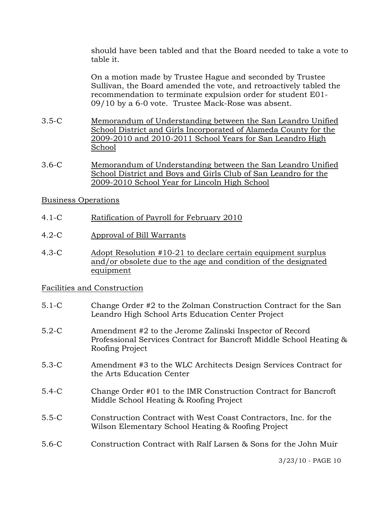should have been tabled and that the Board needed to take a vote to table it.

On a motion made by Trustee Hague and seconded by Trustee Sullivan, the Board amended the vote, and retroactively tabled the recommendation to terminate expulsion order for student E01- 09/10 by a 6-0 vote. Trustee Mack-Rose was absent.

- 3.5-C Memorandum of Understanding between the San Leandro Unified School District and Girls Incorporated of Alameda County for the 2009-2010 and 2010-2011 School Years for San Leandro High School
- 3.6-C Memorandum of Understanding between the San Leandro Unified School District and Boys and Girls Club of San Leandro for the 2009-2010 School Year for Lincoln High School

### Business Operations

- 4.1-C Ratification of Payroll for February 2010
- 4.2-C Approval of Bill Warrants
- 4.3-C Adopt Resolution #10-21 to declare certain equipment surplus and/or obsolete due to the age and condition of the designated equipment

#### Facilities and Construction

- 5.1-C Change Order #2 to the Zolman Construction Contract for the San Leandro High School Arts Education Center Project
- 5.2-C Amendment #2 to the Jerome Zalinski Inspector of Record Professional Services Contract for Bancroft Middle School Heating & Roofing Project
- 5.3-C Amendment #3 to the WLC Architects Design Services Contract for the Arts Education Center
- 5.4-C Change Order #01 to the IMR Construction Contract for Bancroft Middle School Heating & Roofing Project
- 5.5-C Construction Contract with West Coast Contractors, Inc. for the Wilson Elementary School Heating & Roofing Project
- 5.6-C Construction Contract with Ralf Larsen & Sons for the John Muir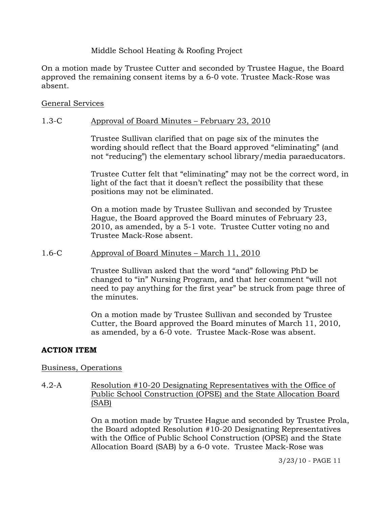# Middle School Heating & Roofing Project

On a motion made by Trustee Cutter and seconded by Trustee Hague, the Board approved the remaining consent items by a 6-0 vote. Trustee Mack-Rose was absent.

# General Services

# 1.3-C Approval of Board Minutes – February 23, 2010

Trustee Sullivan clarified that on page six of the minutes the wording should reflect that the Board approved "eliminating" (and not "reducing") the elementary school library/media paraeducators.

Trustee Cutter felt that "eliminating" may not be the correct word, in light of the fact that it doesn't reflect the possibility that these positions may not be eliminated.

On a motion made by Trustee Sullivan and seconded by Trustee Hague, the Board approved the Board minutes of February 23, 2010, as amended, by a 5-1 vote. Trustee Cutter voting no and Trustee Mack-Rose absent.

# 1.6-C Approval of Board Minutes – March 11, 2010

Trustee Sullivan asked that the word "and" following PhD be changed to "in" Nursing Program, and that her comment "will not need to pay anything for the first year" be struck from page three of the minutes.

On a motion made by Trustee Sullivan and seconded by Trustee Cutter, the Board approved the Board minutes of March 11, 2010, as amended, by a 6-0 vote. Trustee Mack-Rose was absent.

# **ACTION ITEM**

# Business, Operations

4.2-A Resolution #10-20 Designating Representatives with the Office of Public School Construction (OPSE) and the State Allocation Board (SAB)

> On a motion made by Trustee Hague and seconded by Trustee Prola, the Board adopted Resolution #10-20 Designating Representatives with the Office of Public School Construction (OPSE) and the State Allocation Board (SAB) by a 6-0 vote. Trustee Mack-Rose was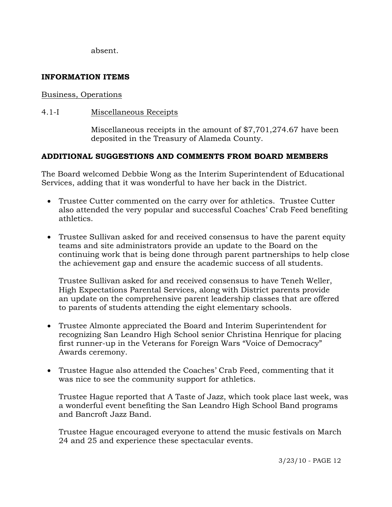absent.

# **INFORMATION ITEMS**

### Business, Operations

4.1-I Miscellaneous Receipts

Miscellaneous receipts in the amount of \$7,701,274.67 have been deposited in the Treasury of Alameda County.

# **ADDITIONAL SUGGESTIONS AND COMMENTS FROM BOARD MEMBERS**

The Board welcomed Debbie Wong as the Interim Superintendent of Educational Services, adding that it was wonderful to have her back in the District.

- Trustee Cutter commented on the carry over for athletics. Trustee Cutter also attended the very popular and successful Coaches' Crab Feed benefiting athletics.
- Trustee Sullivan asked for and received consensus to have the parent equity teams and site administrators provide an update to the Board on the continuing work that is being done through parent partnerships to help close the achievement gap and ensure the academic success of all students.

 Trustee Sullivan asked for and received consensus to have Teneh Weller, High Expectations Parental Services, along with District parents provide an update on the comprehensive parent leadership classes that are offered to parents of students attending the eight elementary schools.

- Trustee Almonte appreciated the Board and Interim Superintendent for recognizing San Leandro High School senior Christina Henrique for placing first runner-up in the Veterans for Foreign Wars "Voice of Democracy" Awards ceremony.
- Trustee Hague also attended the Coaches' Crab Feed, commenting that it was nice to see the community support for athletics.

 Trustee Hague reported that A Taste of Jazz, which took place last week, was a wonderful event benefiting the San Leandro High School Band programs and Bancroft Jazz Band.

 Trustee Hague encouraged everyone to attend the music festivals on March 24 and 25 and experience these spectacular events.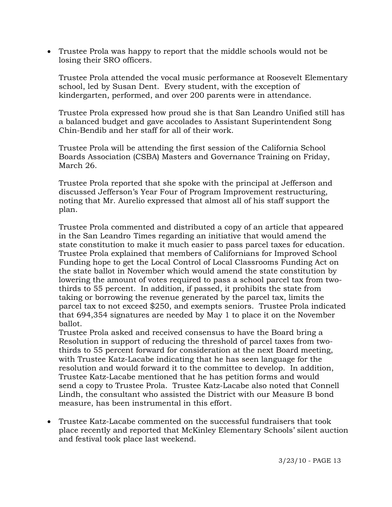• Trustee Prola was happy to report that the middle schools would not be losing their SRO officers.

 Trustee Prola attended the vocal music performance at Roosevelt Elementary school, led by Susan Dent. Every student, with the exception of kindergarten, performed, and over 200 parents were in attendance.

 Trustee Prola expressed how proud she is that San Leandro Unified still has a balanced budget and gave accolades to Assistant Superintendent Song Chin-Bendib and her staff for all of their work.

 Trustee Prola will be attending the first session of the California School Boards Association (CSBA) Masters and Governance Training on Friday, March 26.

 Trustee Prola reported that she spoke with the principal at Jefferson and discussed Jefferson's Year Four of Program Improvement restructuring, noting that Mr. Aurelio expressed that almost all of his staff support the plan.

 Trustee Prola commented and distributed a copy of an article that appeared in the San Leandro Times regarding an initiative that would amend the state constitution to make it much easier to pass parcel taxes for education. Trustee Prola explained that members of Californians for Improved School Funding hope to get the Local Control of Local Classrooms Funding Act on the state ballot in November which would amend the state constitution by lowering the amount of votes required to pass a school parcel tax from two thirds to 55 percent. In addition, if passed, it prohibits the state from taking or borrowing the revenue generated by the parcel tax, limits the parcel tax to not exceed \$250, and exempts seniors. Trustee Prola indicated that 694,354 signatures are needed by May 1 to place it on the November ballot.

 Trustee Prola asked and received consensus to have the Board bring a Resolution in support of reducing the threshold of parcel taxes from two thirds to 55 percent forward for consideration at the next Board meeting, with Trustee Katz-Lacabe indicating that he has seen language for the resolution and would forward it to the committee to develop. In addition, Trustee Katz-Lacabe mentioned that he has petition forms and would send a copy to Trustee Prola. Trustee Katz-Lacabe also noted that Connell Lindh, the consultant who assisted the District with our Measure B bond measure, has been instrumental in this effort.

• Trustee Katz-Lacabe commented on the successful fundraisers that took place recently and reported that McKinley Elementary Schools' silent auction and festival took place last weekend.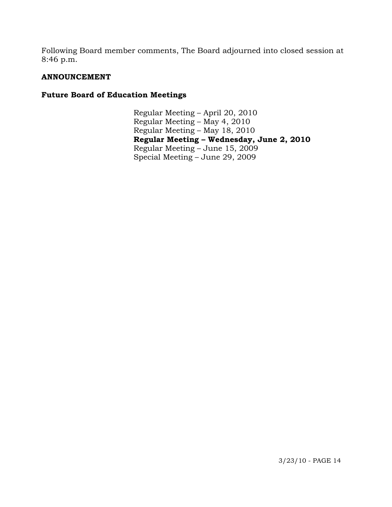Following Board member comments, The Board adjourned into closed session at 8:46 p.m.

# **ANNOUNCEMENT**

# **Future Board of Education Meetings**

Regular Meeting – April 20, 2010 Regular Meeting – May 4, 2010 Regular Meeting – May 18, 2010 **Regular Meeting – Wednesday, June 2, 2010**  Regular Meeting – June 15, 2009 Special Meeting – June 29, 2009